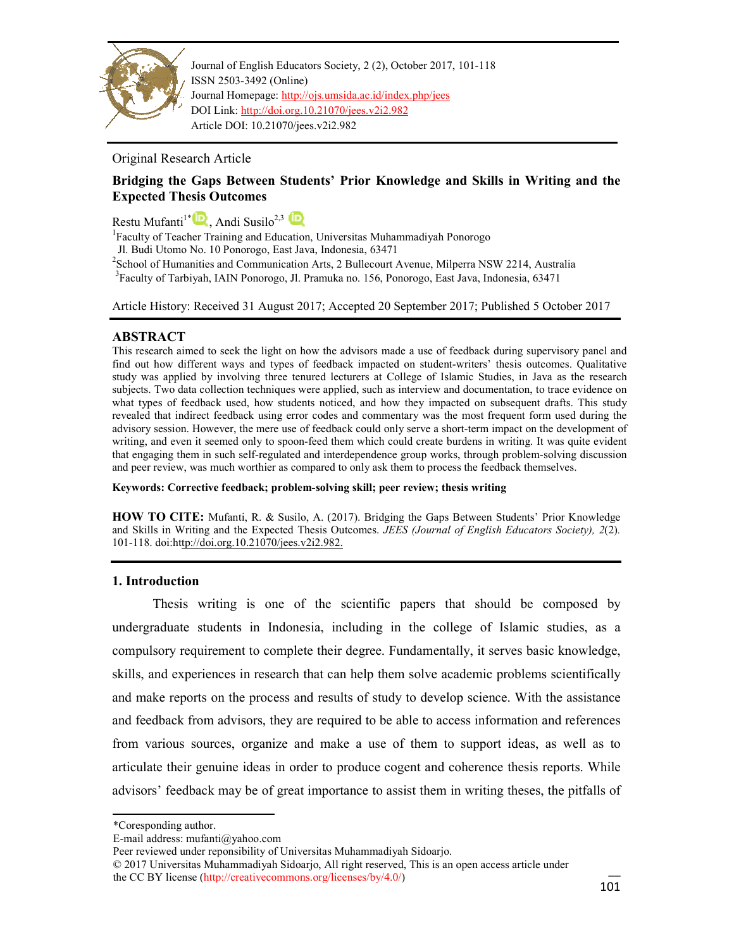

Journal of English Educators Society, 2 (2), October 2017, 101-118 ISSN 2503-3492 (Online) Journal Homepage: http://ojs.umsida.ac.id/index.php/jees DOI Link: http://doi.org.10.21070/jees.v2i2.982 Article DOI: 10.21070/jees.v2i2.982

# Original Research Article

# **Bridging the Gaps Between Students' Prior Knowledge and Skills in Writing and the Expected Thesis Outcomes**

Restu Mufanti<sup>1\*</sup> R, Andi Susilo<sup>2,3</sup>

<sup>1</sup>Faculty of Teacher Training and Education, Universitas Muhammadiyah Ponorogo

Jl. Budi Utomo No. 10 Ponorogo, East Java, Indonesia, 63471

<sup>2</sup> School of Humanities and Communication Arts, 2 Bullecourt Avenue, Milperra NSW 2214, Australia

<sup>3</sup> Faculty of Tarbiyah, IAIN Ponorogo, Jl. Pramuka no. 156, Ponorogo, East Java, Indonesia, 63471

Article History: Received 31 August 2017; Accepted 20 September 2017; Published 5 October 2017

# **ABSTRACT**

This research aimed to seek the light on how the advisors made a use of feedback during supervisory panel and find out how different ways and types of feedback impacted on student-writers' thesis outcomes. Qualitative study was applied by involving three tenured lecturers at College of Islamic Studies, in Java as the research subjects. Two data collection techniques were applied, such as interview and documentation, to trace evidence on what types of feedback used, how students noticed, and how they impacted on subsequent drafts. This study revealed that indirect feedback using error codes and commentary was the most frequent form used during the advisory session. However, the mere use of feedback could only serve a short-term impact on the development of writing, and even it seemed only to spoon-feed them which could create burdens in writing. It was quite evident that engaging them in such self-regulated and interdependence group works, through problem-solving discussion and peer review, was much worthier as compared to only ask them to process the feedback themselves.

**Keywords: Corrective feedback; problem-solving skill; peer review; thesis writing** 

**HOW TO CITE:** Mufanti, R. & Susilo, A. (2017). Bridging the Gaps Between Students' Prior Knowledge and Skills in Writing and the Expected Thesis Outcomes. *JEES (Journal of English Educators Society), 2*(2)*.* 101-118. doi:http://doi.org.10.21070/jees.v2i2.982.

# **1. Introduction**

Thesis writing is one of the scientific papers that should be composed by undergraduate students in Indonesia, including in the college of Islamic studies, as a compulsory requirement to complete their degree. Fundamentally, it serves basic knowledge, skills, and experiences in research that can help them solve academic problems scientifically and make reports on the process and results of study to develop science. With the assistance and feedback from advisors, they are required to be able to access information and references from various sources, organize and make a use of them to support ideas, as well as to articulate their genuine ideas in order to produce cogent and coherence thesis reports. While advisors' feedback may be of great importance to assist them in writing theses, the pitfalls of

© 2017 Universitas Muhammadiyah Sidoarjo, All right reserved, This is an open access article under the CC BY license (http://creativecommons.org/licenses/by/4.0/)

<sup>\*</sup>Coresponding author.

E-mail address: mufanti@yahoo.com

Peer reviewed under reponsibility of Universitas Muhammadiyah Sidoarjo.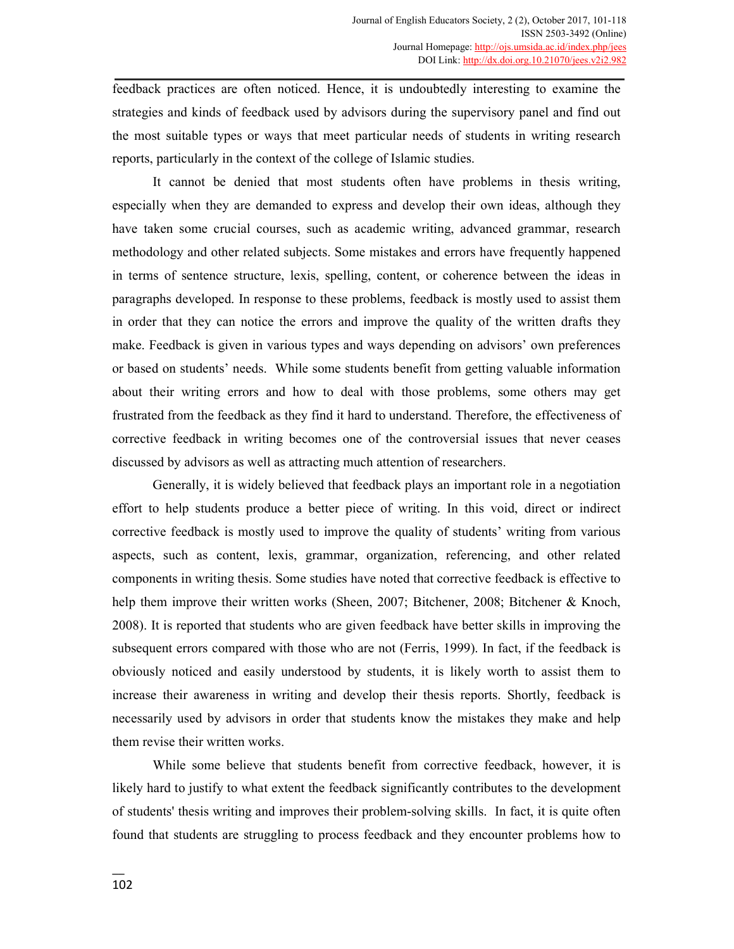feedback practices are often noticed. Hence, it is undoubtedly interesting to examine the strategies and kinds of feedback used by advisors during the supervisory panel and find out the most suitable types or ways that meet particular needs of students in writing research reports, particularly in the context of the college of Islamic studies.

It cannot be denied that most students often have problems in thesis writing, especially when they are demanded to express and develop their own ideas, although they have taken some crucial courses, such as academic writing, advanced grammar, research methodology and other related subjects. Some mistakes and errors have frequently happened in terms of sentence structure, lexis, spelling, content, or coherence between the ideas in paragraphs developed. In response to these problems, feedback is mostly used to assist them in order that they can notice the errors and improve the quality of the written drafts they make. Feedback is given in various types and ways depending on advisors' own preferences or based on students' needs. While some students benefit from getting valuable information about their writing errors and how to deal with those problems, some others may get frustrated from the feedback as they find it hard to understand. Therefore, the effectiveness of corrective feedback in writing becomes one of the controversial issues that never ceases discussed by advisors as well as attracting much attention of researchers.

Generally, it is widely believed that feedback plays an important role in a negotiation effort to help students produce a better piece of writing. In this void, direct or indirect corrective feedback is mostly used to improve the quality of students' writing from various aspects, such as content, lexis, grammar, organization, referencing, and other related components in writing thesis. Some studies have noted that corrective feedback is effective to help them improve their written works (Sheen, 2007; Bitchener, 2008; Bitchener & Knoch, 2008). It is reported that students who are given feedback have better skills in improving the subsequent errors compared with those who are not (Ferris, 1999). In fact, if the feedback is obviously noticed and easily understood by students, it is likely worth to assist them to increase their awareness in writing and develop their thesis reports. Shortly, feedback is necessarily used by advisors in order that students know the mistakes they make and help them revise their written works.

While some believe that students benefit from corrective feedback, however, it is likely hard to justify to what extent the feedback significantly contributes to the development of students' thesis writing and improves their problem-solving skills. In fact, it is quite often found that students are struggling to process feedback and they encounter problems how to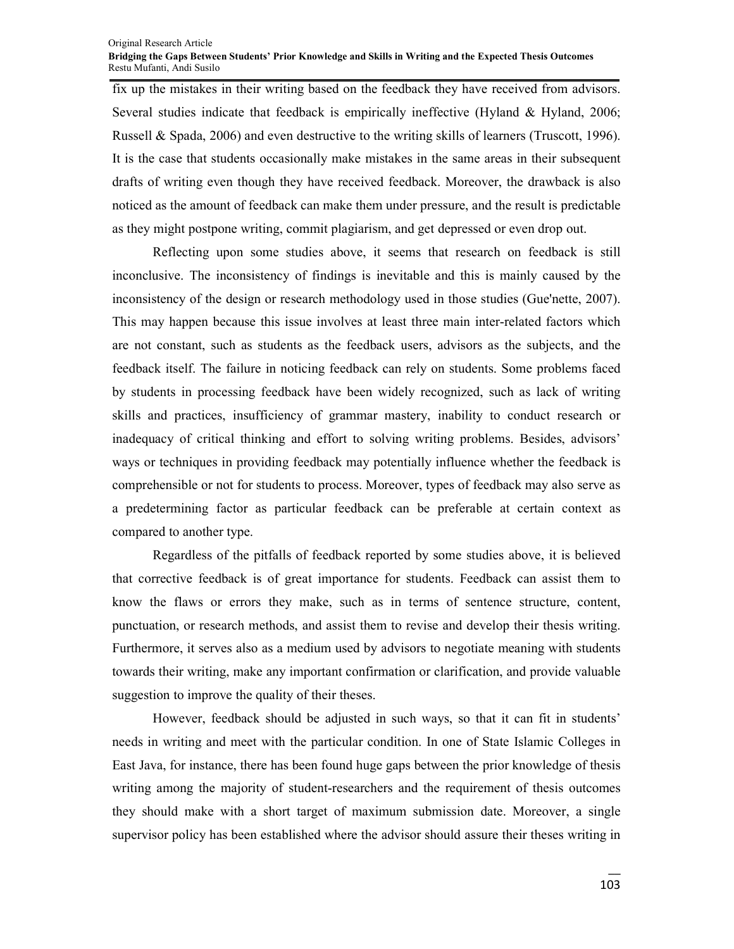fix up the mistakes in their writing based on the feedback they have received from advisors. Several studies indicate that feedback is empirically ineffective (Hyland & Hyland, 2006; Russell & Spada, 2006) and even destructive to the writing skills of learners (Truscott, 1996). It is the case that students occasionally make mistakes in the same areas in their subsequent drafts of writing even though they have received feedback. Moreover, the drawback is also noticed as the amount of feedback can make them under pressure, and the result is predictable as they might postpone writing, commit plagiarism, and get depressed or even drop out.

Reflecting upon some studies above, it seems that research on feedback is still inconclusive. The inconsistency of findings is inevitable and this is mainly caused by the inconsistency of the design or research methodology used in those studies (Gue'nette, 2007). This may happen because this issue involves at least three main inter-related factors which are not constant, such as students as the feedback users, advisors as the subjects, and the feedback itself. The failure in noticing feedback can rely on students. Some problems faced by students in processing feedback have been widely recognized, such as lack of writing skills and practices, insufficiency of grammar mastery, inability to conduct research or inadequacy of critical thinking and effort to solving writing problems. Besides, advisors' ways or techniques in providing feedback may potentially influence whether the feedback is comprehensible or not for students to process. Moreover, types of feedback may also serve as a predetermining factor as particular feedback can be preferable at certain context as compared to another type.

Regardless of the pitfalls of feedback reported by some studies above, it is believed that corrective feedback is of great importance for students. Feedback can assist them to know the flaws or errors they make, such as in terms of sentence structure, content, punctuation, or research methods, and assist them to revise and develop their thesis writing. Furthermore, it serves also as a medium used by advisors to negotiate meaning with students towards their writing, make any important confirmation or clarification, and provide valuable suggestion to improve the quality of their theses.

However, feedback should be adjusted in such ways, so that it can fit in students' needs in writing and meet with the particular condition. In one of State Islamic Colleges in East Java, for instance, there has been found huge gaps between the prior knowledge of thesis writing among the majority of student-researchers and the requirement of thesis outcomes they should make with a short target of maximum submission date. Moreover, a single supervisor policy has been established where the advisor should assure their theses writing in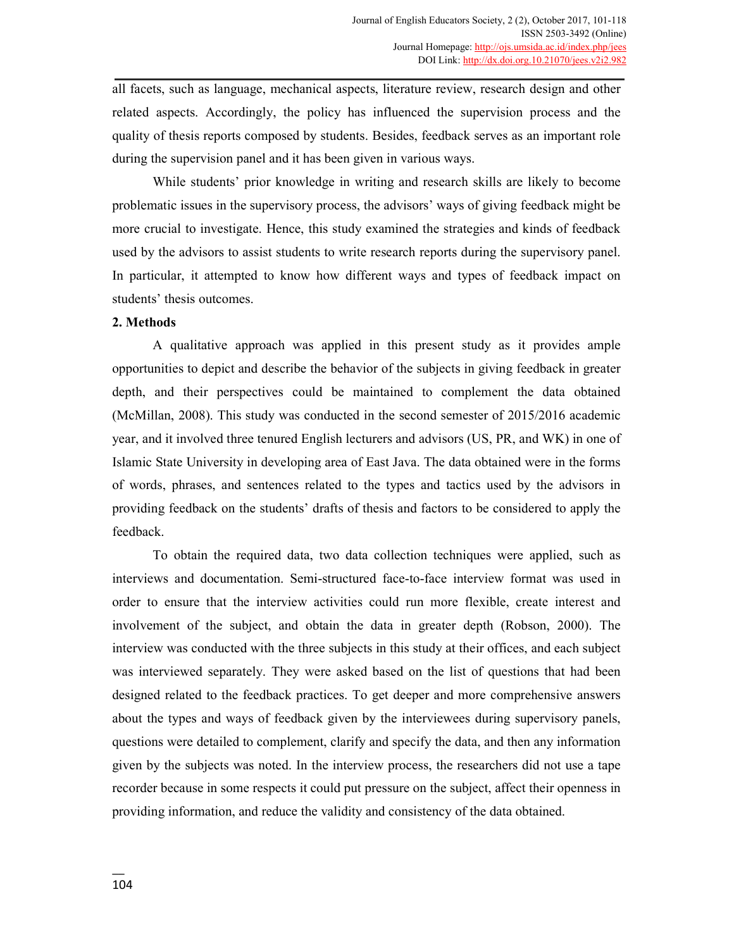all facets, such as language, mechanical aspects, literature review, research design and other related aspects. Accordingly, the policy has influenced the supervision process and the quality of thesis reports composed by students. Besides, feedback serves as an important role during the supervision panel and it has been given in various ways.

While students' prior knowledge in writing and research skills are likely to become problematic issues in the supervisory process, the advisors' ways of giving feedback might be more crucial to investigate. Hence, this study examined the strategies and kinds of feedback used by the advisors to assist students to write research reports during the supervisory panel. In particular, it attempted to know how different ways and types of feedback impact on students' thesis outcomes.

## **2. Methods**

A qualitative approach was applied in this present study as it provides ample opportunities to depict and describe the behavior of the subjects in giving feedback in greater depth, and their perspectives could be maintained to complement the data obtained (McMillan, 2008). This study was conducted in the second semester of 2015/2016 academic year, and it involved three tenured English lecturers and advisors (US, PR, and WK) in one of Islamic State University in developing area of East Java. The data obtained were in the forms of words, phrases, and sentences related to the types and tactics used by the advisors in providing feedback on the students' drafts of thesis and factors to be considered to apply the feedback.

To obtain the required data, two data collection techniques were applied, such as interviews and documentation. Semi-structured face-to-face interview format was used in order to ensure that the interview activities could run more flexible, create interest and involvement of the subject, and obtain the data in greater depth (Robson, 2000). The interview was conducted with the three subjects in this study at their offices, and each subject was interviewed separately. They were asked based on the list of questions that had been designed related to the feedback practices. To get deeper and more comprehensive answers about the types and ways of feedback given by the interviewees during supervisory panels, questions were detailed to complement, clarify and specify the data, and then any information given by the subjects was noted. In the interview process, the researchers did not use a tape recorder because in some respects it could put pressure on the subject, affect their openness in providing information, and reduce the validity and consistency of the data obtained.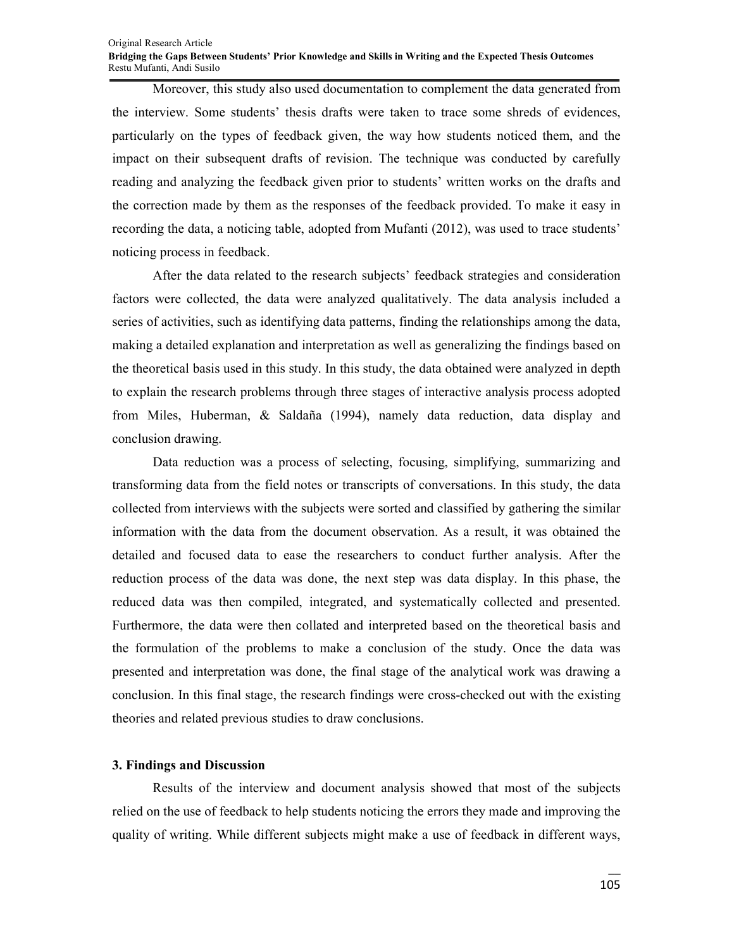#### Original Research Article **Bridging the Gaps Between Students' Prior Knowledge and Skills in Writing and the Expected Thesis Outcomes**  Restu Mufanti, Andi Susilo

Moreover, this study also used documentation to complement the data generated from the interview. Some students' thesis drafts were taken to trace some shreds of evidences, particularly on the types of feedback given, the way how students noticed them, and the impact on their subsequent drafts of revision. The technique was conducted by carefully reading and analyzing the feedback given prior to students' written works on the drafts and the correction made by them as the responses of the feedback provided. To make it easy in recording the data, a noticing table, adopted from Mufanti (2012), was used to trace students' noticing process in feedback.

After the data related to the research subjects' feedback strategies and consideration factors were collected, the data were analyzed qualitatively. The data analysis included a series of activities, such as identifying data patterns, finding the relationships among the data, making a detailed explanation and interpretation as well as generalizing the findings based on the theoretical basis used in this study. In this study, the data obtained were analyzed in depth to explain the research problems through three stages of interactive analysis process adopted from Miles, Huberman, & Saldaña (1994), namely data reduction, data display and conclusion drawing.

Data reduction was a process of selecting, focusing, simplifying, summarizing and transforming data from the field notes or transcripts of conversations. In this study, the data collected from interviews with the subjects were sorted and classified by gathering the similar information with the data from the document observation. As a result, it was obtained the detailed and focused data to ease the researchers to conduct further analysis. After the reduction process of the data was done, the next step was data display. In this phase, the reduced data was then compiled, integrated, and systematically collected and presented. Furthermore, the data were then collated and interpreted based on the theoretical basis and the formulation of the problems to make a conclusion of the study. Once the data was presented and interpretation was done, the final stage of the analytical work was drawing a conclusion. In this final stage, the research findings were cross-checked out with the existing theories and related previous studies to draw conclusions.

#### **3. Findings and Discussion**

Results of the interview and document analysis showed that most of the subjects relied on the use of feedback to help students noticing the errors they made and improving the quality of writing. While different subjects might make a use of feedback in different ways,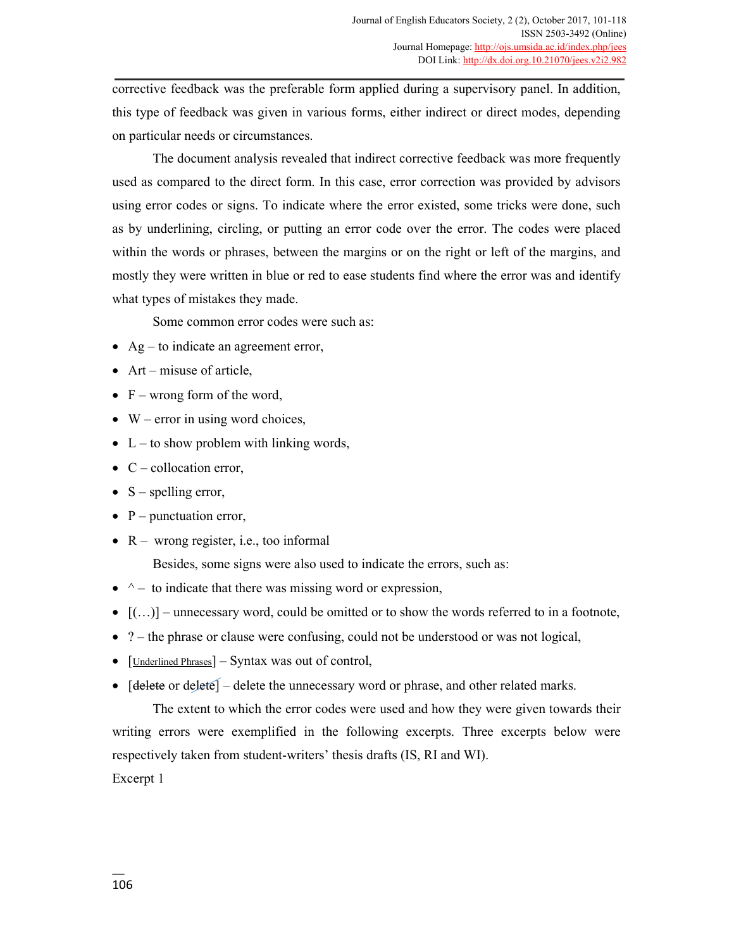corrective feedback was the preferable form applied during a supervisory panel. In addition, this type of feedback was given in various forms, either indirect or direct modes, depending on particular needs or circumstances.

The document analysis revealed that indirect corrective feedback was more frequently used as compared to the direct form. In this case, error correction was provided by advisors using error codes or signs. To indicate where the error existed, some tricks were done, such as by underlining, circling, or putting an error code over the error. The codes were placed within the words or phrases, between the margins or on the right or left of the margins, and mostly they were written in blue or red to ease students find where the error was and identify what types of mistakes they made.

Some common error codes were such as:

- Ag to indicate an agreement error,
- Art misuse of article,
- $F$  wrong form of the word,
- W error in using word choices,
- L to show problem with linking words,
- $\bullet$  C collocation error,
- $S$  spelling error,
- $P$  punctuation error,
- $R -$  wrong register, i.e., too informal

Besides, some signs were also used to indicate the errors, such as:

- $\bullet$  ^ to indicate that there was missing word or expression,
- $\bullet$   $[(...)$  unnecessary word, could be omitted or to show the words referred to in a footnote,
- ? the phrase or clause were confusing, could not be understood or was not logical,
- [Underlined Phrases] Syntax was out of control,
- $[delete or delete] delete the unnecessary word or phrase, and other related marks.$

The extent to which the error codes were used and how they were given towards their writing errors were exemplified in the following excerpts. Three excerpts below were respectively taken from student-writers' thesis drafts (IS, RI and WI).

Excerpt 1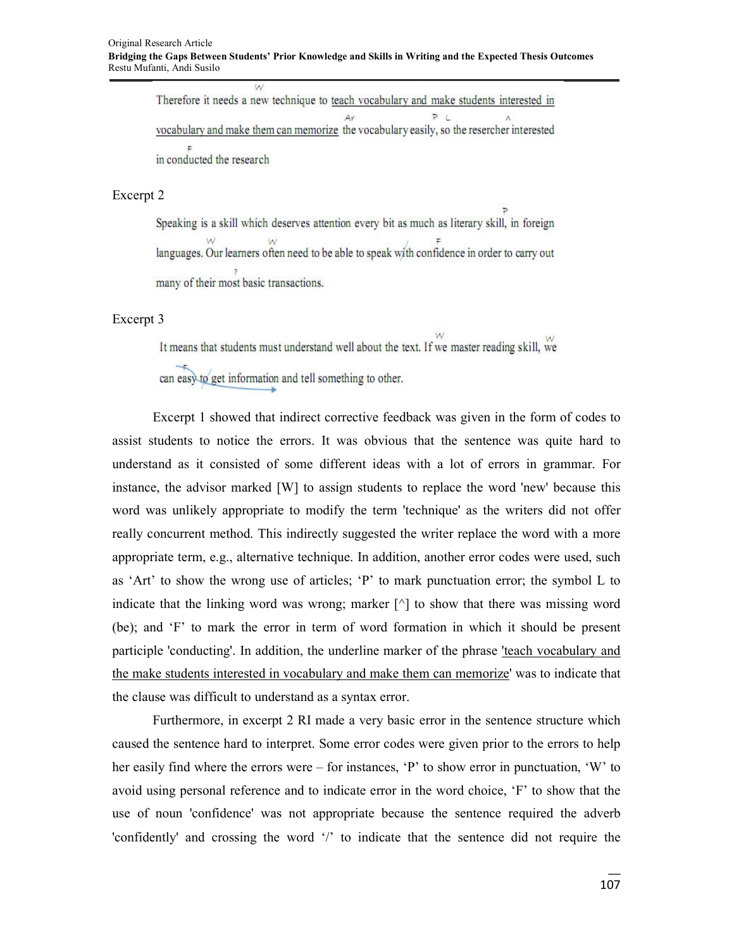Therefore it needs a new technique to teach vocabulary and make students interested in  $P_{1}$ vocabulary and make them can memorize the vocabulary easily, so the resercher interested in conducted the research

#### Excerpt 2

Speaking is a skill which deserves attention every bit as much as literary skill, in foreign languages. Our learners often need to be able to speak with confidence in order to carry out many of their most basic transactions.

Excerpt 3

It means that students must understand well about the text. If we master reading skill, we

can easy to get information and tell something to other.

Ü.

Excerpt 1 showed that indirect corrective feedback was given in the form of codes to assist students to notice the errors. It was obvious that the sentence was quite hard to understand as it consisted of some different ideas with a lot of errors in grammar. For instance, the advisor marked [W] to assign students to replace the word 'new' because this word was unlikely appropriate to modify the term 'technique' as the writers did not offer really concurrent method. This indirectly suggested the writer replace the word with a more appropriate term, e.g., alternative technique. In addition, another error codes were used, such as 'Art' to show the wrong use of articles; 'P' to mark punctuation error; the symbol L to indicate that the linking word was wrong; marker  $\lceil \cdot \rceil$  to show that there was missing word (be); and 'F' to mark the error in term of word formation in which it should be present participle 'conducting'. In addition, the underline marker of the phrase <u>'teach vocabulary and</u> the make students interested in vocabulary and make them can memorize' was to indicate that the clause was difficult to understand as a syntax error.

Furthermore, in excerpt 2 RI made a very basic error in the sentence structure which caused the sentence hard to interpret. Some error codes were given prior to the errors to help her easily find where the errors were – for instances, 'P' to show error in punctuation, 'W' to avoid using personal reference and to indicate error in the word choice, 'F' to show that the use of noun 'confidence' was not appropriate because the sentence required the adverb 'confidently' and crossing the word '/' to indicate that the sentence did not require the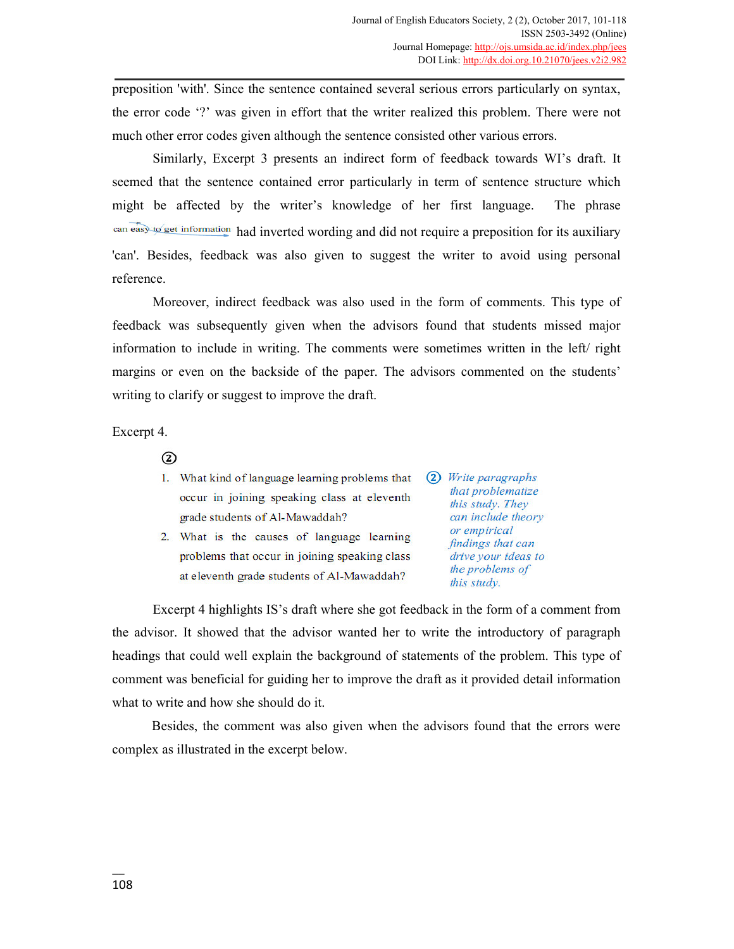preposition 'with'. Since the sentence contained several serious errors particularly on syntax, the error code '?' was given in effort that the writer realized this problem. There were not much other error codes given although the sentence consisted other various errors.

Similarly, Excerpt 3 presents an indirect form of feedback towards WI's draft. It seemed that the sentence contained error particularly in term of sentence structure which might be affected by the writer's knowledge of her first language. The phrase can easy to get information had inverted wording and did not require a preposition for its auxiliary 'can'. Besides, feedback was also given to suggest the writer to avoid using personal reference.

Moreover, indirect feedback was also used in the form of comments. This type of feedback was subsequently given when the advisors found that students missed major information to include in writing. The comments were sometimes written in the left/ right margins or even on the backside of the paper. The advisors commented on the students' writing to clarify or suggest to improve the draft.

Excerpt 4.

 $(2)$ 

- 1. What kind of language learning problems that occur in joining speaking class at eleventh grade students of Al-Mawaddah?
- 2. What is the causes of language learning problems that occur in joining speaking class at eleventh grade students of Al-Mawaddah?

(2) Write paragraphs that problematize this study. They can include theory or empirical findings that can drive your ideas to the problems of this study.

Excerpt 4 highlights IS's draft where she got feedback in the form of a comment from the advisor. It showed that the advisor wanted her to write the introductory of paragraph headings that could well explain the background of statements of the problem. This type of comment was beneficial for guiding her to improve the draft as it provided detail information what to write and how she should do it.

Besides, the comment was also given when the advisors found that the errors were complex as illustrated in the excerpt below.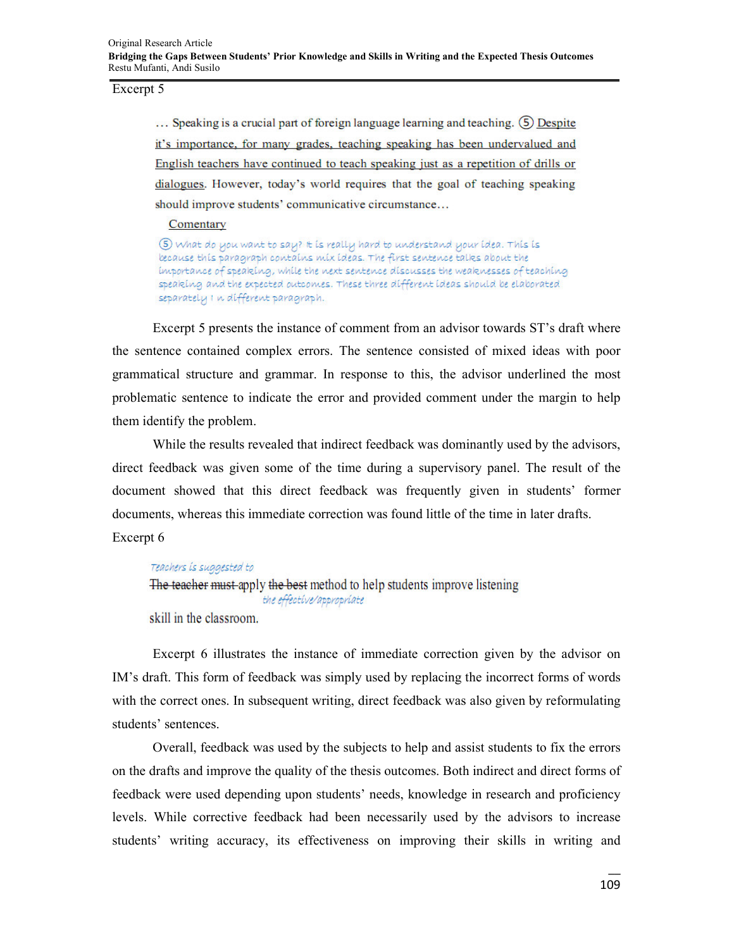## Excerpt 5

... Speaking is a crucial part of foreign language learning and teaching. (5) Despite it's importance, for many grades, teaching speaking has been undervalued and English teachers have continued to teach speaking just as a repetition of drills or dialogues. However, today's world requires that the goal of teaching speaking should improve students' communicative circumstance...

## Comentary

5) what do you want to say? It is really hard to understand your idea. This is because this paragraph contains mix ideas. The first sentence talks about the importance of speaking, while the next sentence discusses the weaknesses of teaching speaking and the expected outcomes. These three different ideas should be elaborated separately I n different paragraph.

Excerpt 5 presents the instance of comment from an advisor towards ST's draft where the sentence contained complex errors. The sentence consisted of mixed ideas with poor grammatical structure and grammar. In response to this, the advisor underlined the most problematic sentence to indicate the error and provided comment under the margin to help them identify the problem.

While the results revealed that indirect feedback was dominantly used by the advisors, direct feedback was given some of the time during a supervisory panel. The result of the document showed that this direct feedback was frequently given in students' former documents, whereas this immediate correction was found little of the time in later drafts. Excerpt 6

## Teachers is suggested to

```
The teacher must apply the best method to help students improve listening
           the effective/appropriate
```
skill in the classroom.

Excerpt 6 illustrates the instance of immediate correction given by the advisor on IM's draft. This form of feedback was simply used by replacing the incorrect forms of words with the correct ones. In subsequent writing, direct feedback was also given by reformulating students' sentences.

Overall, feedback was used by the subjects to help and assist students to fix the errors on the drafts and improve the quality of the thesis outcomes. Both indirect and direct forms of feedback were used depending upon students' needs, knowledge in research and proficiency levels. While corrective feedback had been necessarily used by the advisors to increase students' writing accuracy, its effectiveness on improving their skills in writing and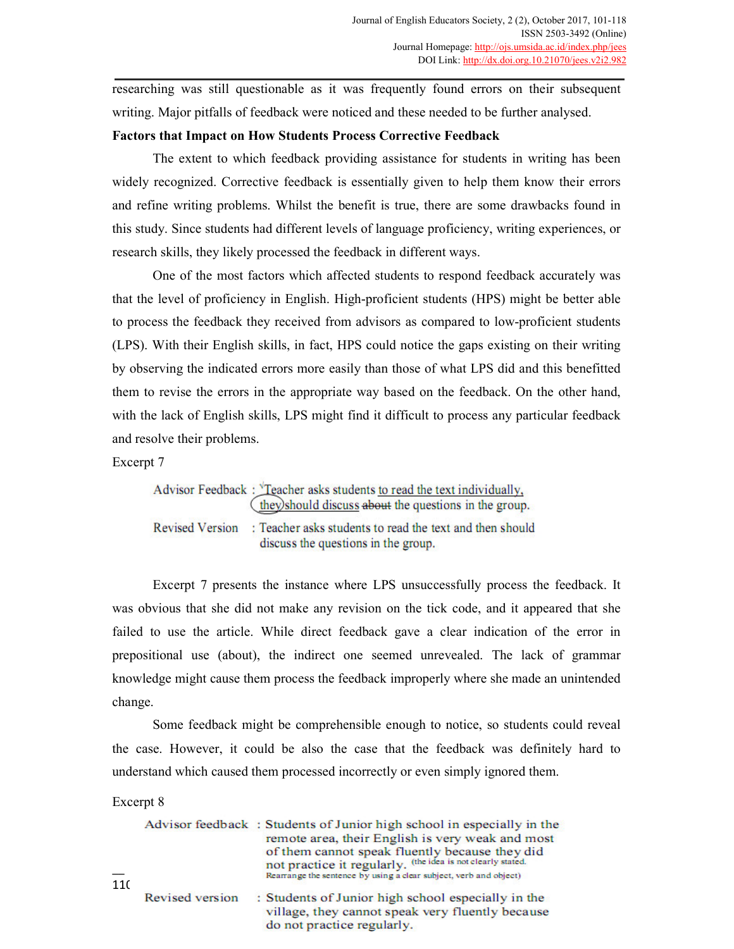researching was still questionable as it was frequently found errors on their subsequent writing. Major pitfalls of feedback were noticed and these needed to be further analysed.

## **Factors that Impact on How Students Process Corrective Feedback**

The extent to which feedback providing assistance for students in writing has been widely recognized. Corrective feedback is essentially given to help them know their errors and refine writing problems. Whilst the benefit is true, there are some drawbacks found in this study. Since students had different levels of language proficiency, writing experiences, or research skills, they likely processed the feedback in different ways.

One of the most factors which affected students to respond feedback accurately was that the level of proficiency in English. High-proficient students (HPS) might be better able to process the feedback they received from advisors as compared to low-proficient students (LPS). With their English skills, in fact, HPS could notice the gaps existing on their writing by observing the indicated errors more easily than those of what LPS did and this benefitted them to revise the errors in the appropriate way based on the feedback. On the other hand, with the lack of English skills, LPS might find it difficult to process any particular feedback and resolve their problems.

Excerpt 7

Advisor Feedback:  $\sqrt{\text{Teacher}}$  asks students to read the text individually, they) should discuss about the questions in the group. Revised Version: Teacher asks students to read the text and then should discuss the questions in the group.

Excerpt 7 presents the instance where LPS unsuccessfully process the feedback. It was obvious that she did not make any revision on the tick code, and it appeared that she failed to use the article. While direct feedback gave a clear indication of the error in prepositional use (about), the indirect one seemed unrevealed. The lack of grammar knowledge might cause them process the feedback improperly where she made an unintended change.

Some feedback might be comprehensible enough to notice, so students could reveal the case. However, it could be also the case that the feedback was definitely hard to understand which caused them processed incorrectly or even simply ignored them.

Excerpt 8

| 11( |                 | Advisor feedback: Students of Junior high school in especially in the<br>remote area, their English is very weak and most<br>of them cannot speak fluently because they did<br>not practice it regularly, (the idea is not clearly stated.<br>Rearrange the sentence by using a clear subject, verb and object) |
|-----|-----------------|-----------------------------------------------------------------------------------------------------------------------------------------------------------------------------------------------------------------------------------------------------------------------------------------------------------------|
|     | Revised version | : Students of Junior high school especially in the<br>village, they cannot speak very fluently because<br>do not practice regularly.                                                                                                                                                                            |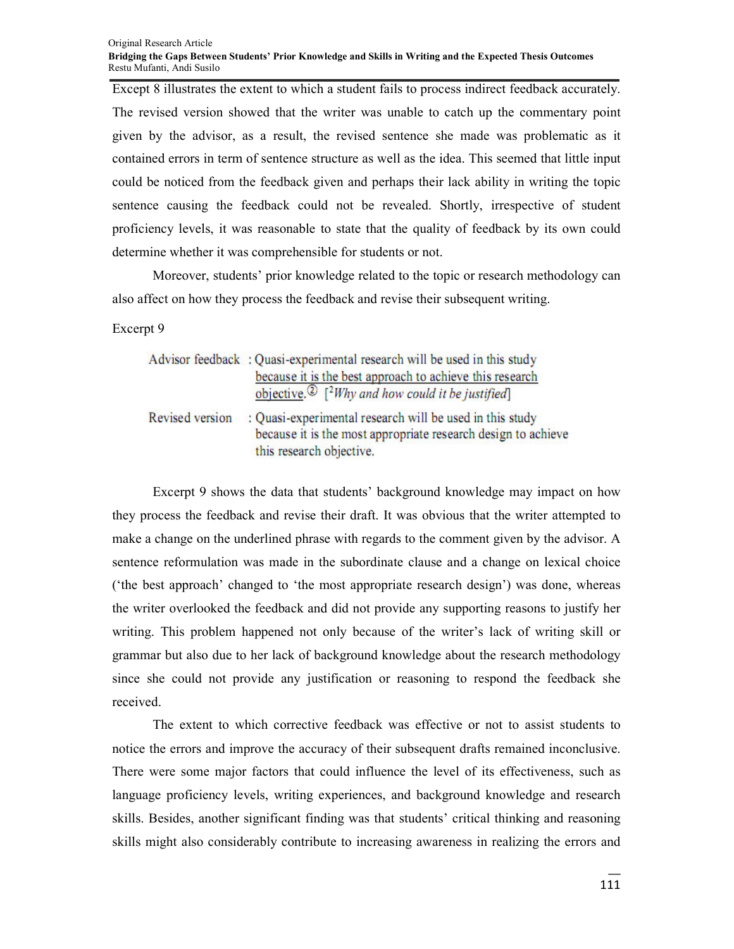Except 8 illustrates the extent to which a student fails to process indirect feedback accurately. The revised version showed that the writer was unable to catch up the commentary point given by the advisor, as a result, the revised sentence she made was problematic as it contained errors in term of sentence structure as well as the idea. This seemed that little input could be noticed from the feedback given and perhaps their lack ability in writing the topic sentence causing the feedback could not be revealed. Shortly, irrespective of student proficiency levels, it was reasonable to state that the quality of feedback by its own could determine whether it was comprehensible for students or not.

Moreover, students' prior knowledge related to the topic or research methodology can also affect on how they process the feedback and revise their subsequent writing.

Excerpt 9

|                        | Advisor feedback: Quasi-experimental research will be used in this study<br>because it is the best approach to achieve this research<br>objective. $\bigcirc$ [ <sup>2</sup> Why and how could it be justified] |
|------------------------|-----------------------------------------------------------------------------------------------------------------------------------------------------------------------------------------------------------------|
| <b>Revised version</b> | : Quasi-experimental research will be used in this study<br>because it is the most appropriate research design to achieve<br>this research objective.                                                           |

Excerpt 9 shows the data that students' background knowledge may impact on how they process the feedback and revise their draft. It was obvious that the writer attempted to make a change on the underlined phrase with regards to the comment given by the advisor. A sentence reformulation was made in the subordinate clause and a change on lexical choice ('the best approach' changed to 'the most appropriate research design') was done, whereas the writer overlooked the feedback and did not provide any supporting reasons to justify her writing. This problem happened not only because of the writer's lack of writing skill or grammar but also due to her lack of background knowledge about the research methodology since she could not provide any justification or reasoning to respond the feedback she received.

The extent to which corrective feedback was effective or not to assist students to notice the errors and improve the accuracy of their subsequent drafts remained inconclusive. There were some major factors that could influence the level of its effectiveness, such as language proficiency levels, writing experiences, and background knowledge and research skills. Besides, another significant finding was that students' critical thinking and reasoning skills might also considerably contribute to increasing awareness in realizing the errors and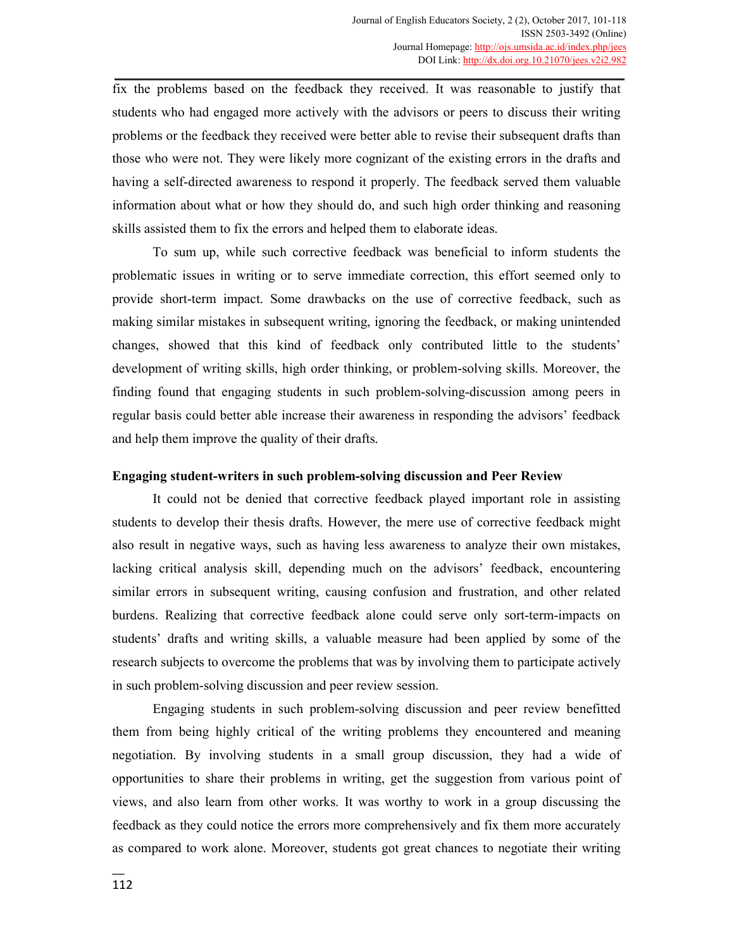fix the problems based on the feedback they received. It was reasonable to justify that students who had engaged more actively with the advisors or peers to discuss their writing problems or the feedback they received were better able to revise their subsequent drafts than those who were not. They were likely more cognizant of the existing errors in the drafts and having a self-directed awareness to respond it properly. The feedback served them valuable information about what or how they should do, and such high order thinking and reasoning skills assisted them to fix the errors and helped them to elaborate ideas.

To sum up, while such corrective feedback was beneficial to inform students the problematic issues in writing or to serve immediate correction, this effort seemed only to provide short-term impact. Some drawbacks on the use of corrective feedback, such as making similar mistakes in subsequent writing, ignoring the feedback, or making unintended changes, showed that this kind of feedback only contributed little to the students' development of writing skills, high order thinking, or problem-solving skills. Moreover, the finding found that engaging students in such problem-solving-discussion among peers in regular basis could better able increase their awareness in responding the advisors' feedback and help them improve the quality of their drafts.

#### **Engaging student-writers in such problem-solving discussion and Peer Review**

It could not be denied that corrective feedback played important role in assisting students to develop their thesis drafts. However, the mere use of corrective feedback might also result in negative ways, such as having less awareness to analyze their own mistakes, lacking critical analysis skill, depending much on the advisors' feedback, encountering similar errors in subsequent writing, causing confusion and frustration, and other related burdens. Realizing that corrective feedback alone could serve only sort-term-impacts on students' drafts and writing skills, a valuable measure had been applied by some of the research subjects to overcome the problems that was by involving them to participate actively in such problem-solving discussion and peer review session.

Engaging students in such problem-solving discussion and peer review benefitted them from being highly critical of the writing problems they encountered and meaning negotiation. By involving students in a small group discussion, they had a wide of opportunities to share their problems in writing, get the suggestion from various point of views, and also learn from other works. It was worthy to work in a group discussing the feedback as they could notice the errors more comprehensively and fix them more accurately as compared to work alone. Moreover, students got great chances to negotiate their writing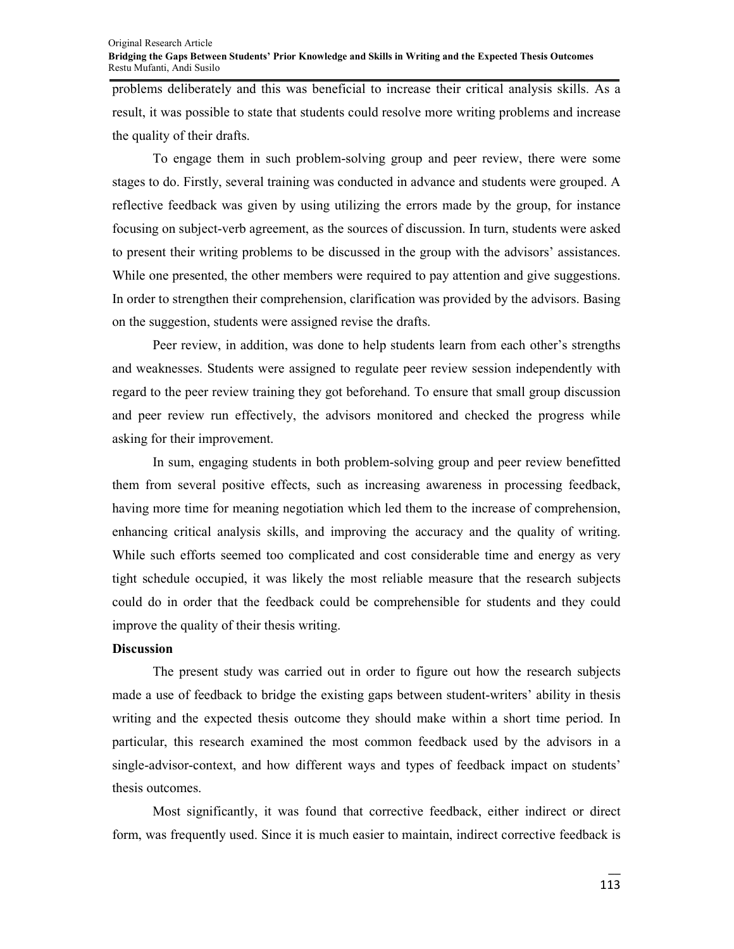#### Original Research Article **Bridging the Gaps Between Students' Prior Knowledge and Skills in Writing and the Expected Thesis Outcomes**  Restu Mufanti, Andi Susilo

problems deliberately and this was beneficial to increase their critical analysis skills. As a result, it was possible to state that students could resolve more writing problems and increase the quality of their drafts.

To engage them in such problem-solving group and peer review, there were some stages to do. Firstly, several training was conducted in advance and students were grouped. A reflective feedback was given by using utilizing the errors made by the group, for instance focusing on subject-verb agreement, as the sources of discussion. In turn, students were asked to present their writing problems to be discussed in the group with the advisors' assistances. While one presented, the other members were required to pay attention and give suggestions. In order to strengthen their comprehension, clarification was provided by the advisors. Basing on the suggestion, students were assigned revise the drafts.

Peer review, in addition, was done to help students learn from each other's strengths and weaknesses. Students were assigned to regulate peer review session independently with regard to the peer review training they got beforehand. To ensure that small group discussion and peer review run effectively, the advisors monitored and checked the progress while asking for their improvement.

In sum, engaging students in both problem-solving group and peer review benefitted them from several positive effects, such as increasing awareness in processing feedback, having more time for meaning negotiation which led them to the increase of comprehension, enhancing critical analysis skills, and improving the accuracy and the quality of writing. While such efforts seemed too complicated and cost considerable time and energy as very tight schedule occupied, it was likely the most reliable measure that the research subjects could do in order that the feedback could be comprehensible for students and they could improve the quality of their thesis writing.

#### **Discussion**

The present study was carried out in order to figure out how the research subjects made a use of feedback to bridge the existing gaps between student-writers' ability in thesis writing and the expected thesis outcome they should make within a short time period. In particular, this research examined the most common feedback used by the advisors in a single-advisor-context, and how different ways and types of feedback impact on students' thesis outcomes.

Most significantly, it was found that corrective feedback, either indirect or direct form, was frequently used. Since it is much easier to maintain, indirect corrective feedback is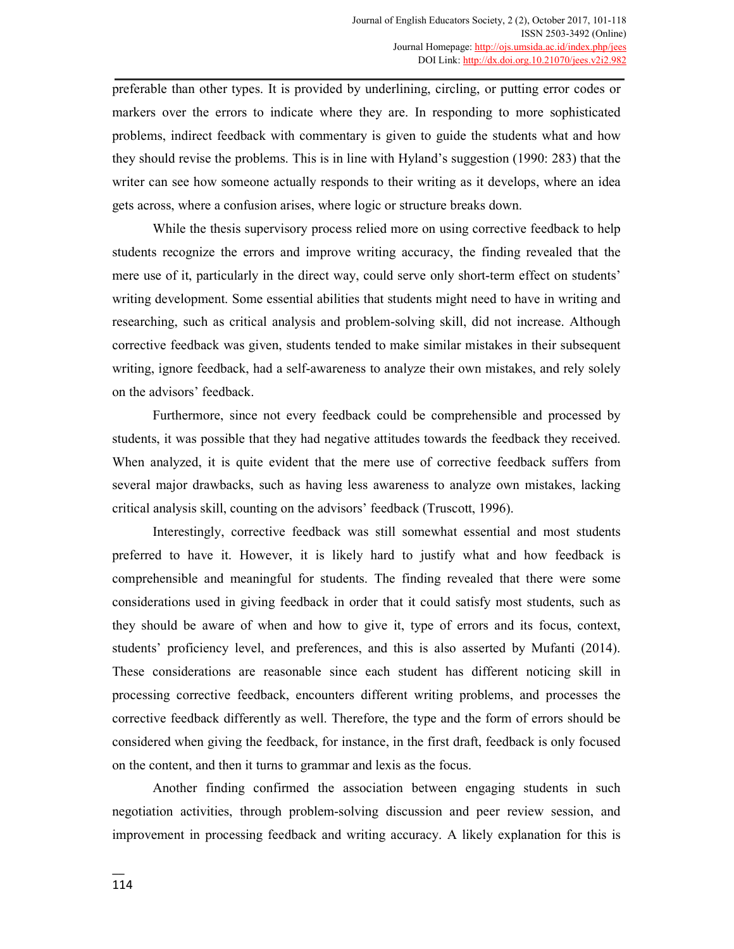preferable than other types. It is provided by underlining, circling, or putting error codes or markers over the errors to indicate where they are. In responding to more sophisticated problems, indirect feedback with commentary is given to guide the students what and how they should revise the problems. This is in line with Hyland's suggestion (1990: 283) that the writer can see how someone actually responds to their writing as it develops, where an idea gets across, where a confusion arises, where logic or structure breaks down.

While the thesis supervisory process relied more on using corrective feedback to help students recognize the errors and improve writing accuracy, the finding revealed that the mere use of it, particularly in the direct way, could serve only short-term effect on students' writing development. Some essential abilities that students might need to have in writing and researching, such as critical analysis and problem-solving skill, did not increase. Although corrective feedback was given, students tended to make similar mistakes in their subsequent writing, ignore feedback, had a self-awareness to analyze their own mistakes, and rely solely on the advisors' feedback.

Furthermore, since not every feedback could be comprehensible and processed by students, it was possible that they had negative attitudes towards the feedback they received. When analyzed, it is quite evident that the mere use of corrective feedback suffers from several major drawbacks, such as having less awareness to analyze own mistakes, lacking critical analysis skill, counting on the advisors' feedback (Truscott, 1996).

Interestingly, corrective feedback was still somewhat essential and most students preferred to have it. However, it is likely hard to justify what and how feedback is comprehensible and meaningful for students. The finding revealed that there were some considerations used in giving feedback in order that it could satisfy most students, such as they should be aware of when and how to give it, type of errors and its focus, context, students' proficiency level, and preferences, and this is also asserted by Mufanti (2014). These considerations are reasonable since each student has different noticing skill in processing corrective feedback, encounters different writing problems, and processes the corrective feedback differently as well. Therefore, the type and the form of errors should be considered when giving the feedback, for instance, in the first draft, feedback is only focused on the content, and then it turns to grammar and lexis as the focus.

Another finding confirmed the association between engaging students in such negotiation activities, through problem-solving discussion and peer review session, and improvement in processing feedback and writing accuracy. A likely explanation for this is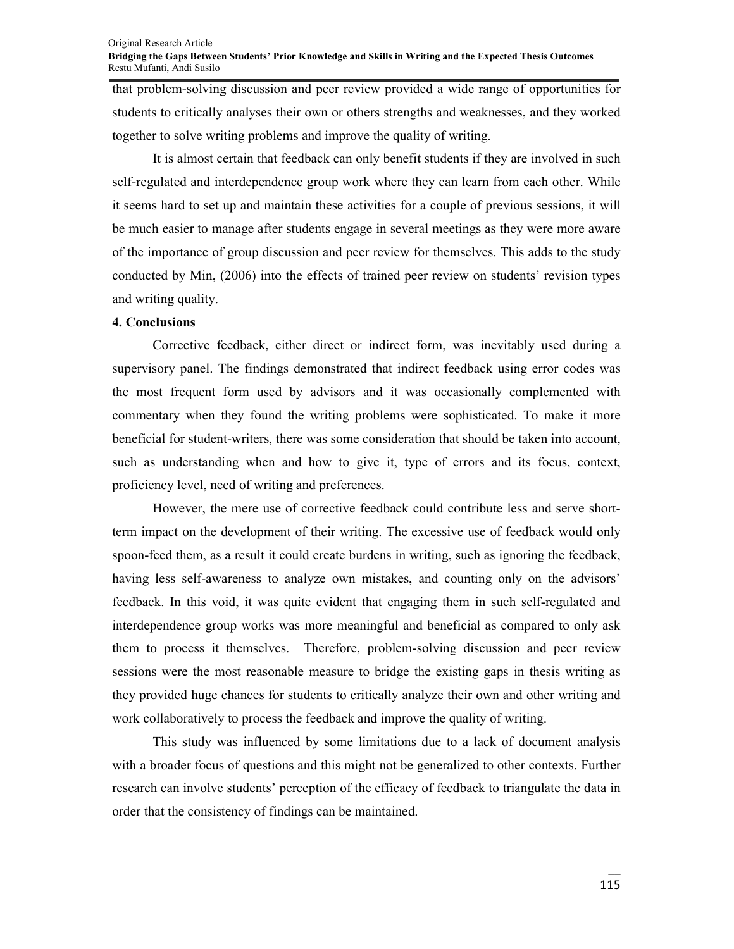#### Original Research Article **Bridging the Gaps Between Students' Prior Knowledge and Skills in Writing and the Expected Thesis Outcomes**  Restu Mufanti, Andi Susilo

that problem-solving discussion and peer review provided a wide range of opportunities for students to critically analyses their own or others strengths and weaknesses, and they worked together to solve writing problems and improve the quality of writing.

It is almost certain that feedback can only benefit students if they are involved in such self-regulated and interdependence group work where they can learn from each other. While it seems hard to set up and maintain these activities for a couple of previous sessions, it will be much easier to manage after students engage in several meetings as they were more aware of the importance of group discussion and peer review for themselves. This adds to the study conducted by Min, (2006) into the effects of trained peer review on students' revision types and writing quality.

## **4. Conclusions**

Corrective feedback, either direct or indirect form, was inevitably used during a supervisory panel. The findings demonstrated that indirect feedback using error codes was the most frequent form used by advisors and it was occasionally complemented with commentary when they found the writing problems were sophisticated. To make it more beneficial for student-writers, there was some consideration that should be taken into account, such as understanding when and how to give it, type of errors and its focus, context, proficiency level, need of writing and preferences.

However, the mere use of corrective feedback could contribute less and serve shortterm impact on the development of their writing. The excessive use of feedback would only spoon-feed them, as a result it could create burdens in writing, such as ignoring the feedback, having less self-awareness to analyze own mistakes, and counting only on the advisors' feedback. In this void, it was quite evident that engaging them in such self-regulated and interdependence group works was more meaningful and beneficial as compared to only ask them to process it themselves. Therefore, problem-solving discussion and peer review sessions were the most reasonable measure to bridge the existing gaps in thesis writing as they provided huge chances for students to critically analyze their own and other writing and work collaboratively to process the feedback and improve the quality of writing.

This study was influenced by some limitations due to a lack of document analysis with a broader focus of questions and this might not be generalized to other contexts. Further research can involve students' perception of the efficacy of feedback to triangulate the data in order that the consistency of findings can be maintained.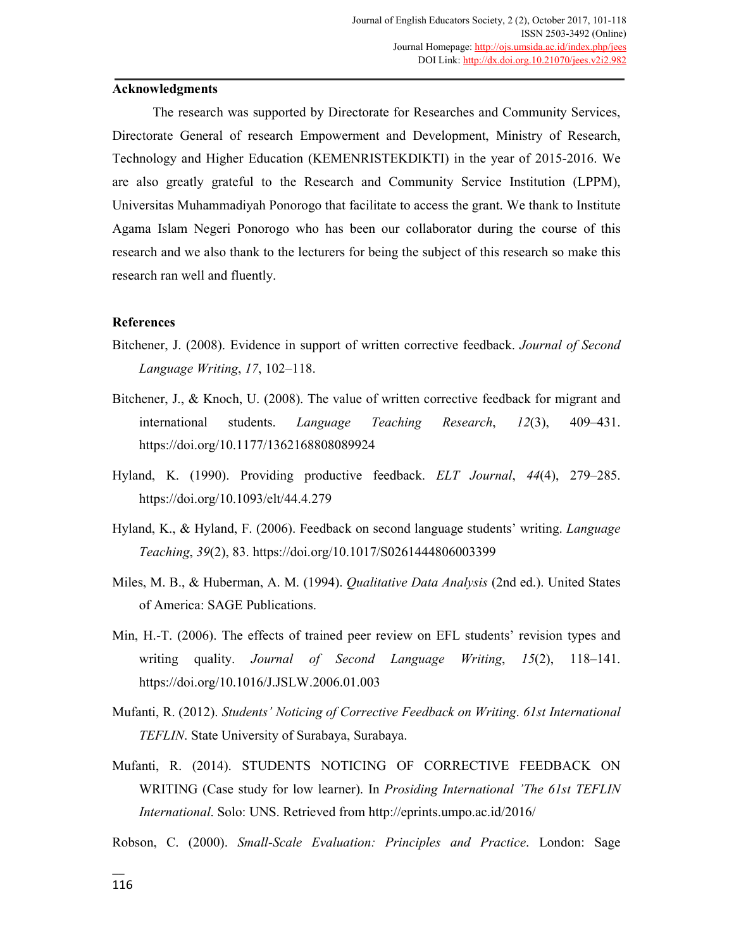## **Acknowledgments**

The research was supported by Directorate for Researches and Community Services, Directorate General of research Empowerment and Development, Ministry of Research, Technology and Higher Education (KEMENRISTEKDIKTI) in the year of 2015-2016. We are also greatly grateful to the Research and Community Service Institution (LPPM), Universitas Muhammadiyah Ponorogo that facilitate to access the grant. We thank to Institute Agama Islam Negeri Ponorogo who has been our collaborator during the course of this research and we also thank to the lecturers for being the subject of this research so make this research ran well and fluently.

## **References**

- Bitchener, J. (2008). Evidence in support of written corrective feedback. *Journal of Second Language Writing*, *17*, 102–118.
- Bitchener, J., & Knoch, U. (2008). The value of written corrective feedback for migrant and international students. *Language Teaching Research*, *12*(3), 409–431. https://doi.org/10.1177/1362168808089924
- Hyland, K. (1990). Providing productive feedback. *ELT Journal*, *44*(4), 279–285. https://doi.org/10.1093/elt/44.4.279
- Hyland, K., & Hyland, F. (2006). Feedback on second language students' writing. *Language Teaching*, *39*(2), 83. https://doi.org/10.1017/S0261444806003399
- Miles, M. B., & Huberman, A. M. (1994). *Qualitative Data Analysis* (2nd ed.). United States of America: SAGE Publications.
- Min, H.-T. (2006). The effects of trained peer review on EFL students' revision types and writing quality. *Journal of Second Language Writing*, *15*(2), 118–141. https://doi.org/10.1016/J.JSLW.2006.01.003
- Mufanti, R. (2012). *Students' Noticing of Corrective Feedback on Writing*. *61st International TEFLIN*. State University of Surabaya, Surabaya.
- Mufanti, R. (2014). STUDENTS NOTICING OF CORRECTIVE FEEDBACK ON WRITING (Case study for low learner). In *Prosiding International 'The 61st TEFLIN International*. Solo: UNS. Retrieved from http://eprints.umpo.ac.id/2016/
- Robson, C. (2000). *Small-Scale Evaluation: Principles and Practice*. London: Sage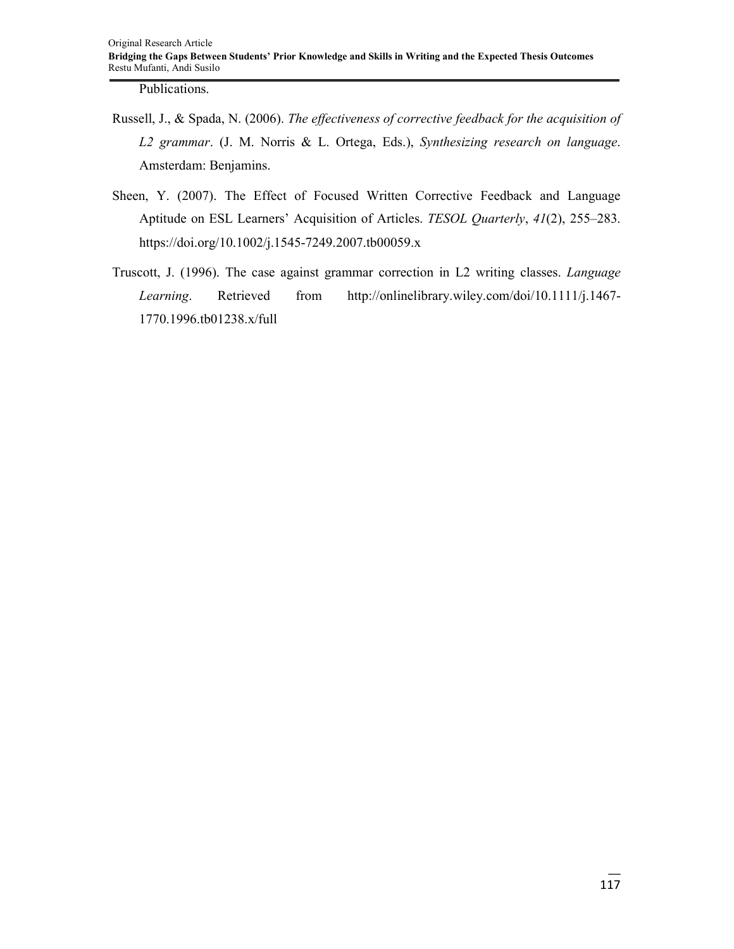Publications.

- Russell, J., & Spada, N. (2006). *The effectiveness of corrective feedback for the acquisition of L2 grammar*. (J. M. Norris & L. Ortega, Eds.), *Synthesizing research on language*. Amsterdam: Benjamins.
- Sheen, Y. (2007). The Effect of Focused Written Corrective Feedback and Language Aptitude on ESL Learners' Acquisition of Articles. *TESOL Quarterly*, *41*(2), 255–283. https://doi.org/10.1002/j.1545-7249.2007.tb00059.x
- Truscott, J. (1996). The case against grammar correction in L2 writing classes. *Language Learning*. Retrieved from http://onlinelibrary.wiley.com/doi/10.1111/j.1467- 1770.1996.tb01238.x/full